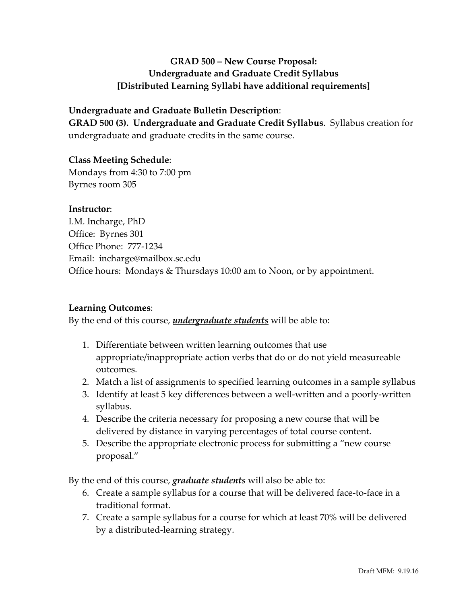# **GRAD 500 – New Course Proposal: Undergraduate and Graduate Credit Syllabus [Distributed Learning Syllabi have additional requirements]**

#### **Undergraduate and Graduate Bulletin Description**:

**GRAD 500 (3). Undergraduate and Graduate Credit Syllabus**. Syllabus creation for undergraduate and graduate credits in the same course.

#### **Class Meeting Schedule**:

Mondays from 4:30 to 7:00 pm Byrnes room 305

#### **Instructor**:

I.M. Incharge, PhD Office: Byrnes 301 Office Phone: 777-1234 Email: incharge@mailbox.sc.edu Office hours: Mondays & Thursdays 10:00 am to Noon, or by appointment.

### **Learning Outcomes**:

By the end of this course, *undergraduate students* will be able to:

- 1. Differentiate between written learning outcomes that use appropriate/inappropriate action verbs that do or do not yield measureable outcomes.
- 2. Match a list of assignments to specified learning outcomes in a sample syllabus
- 3. Identify at least 5 key differences between a well-written and a poorly-written syllabus.
- 4. Describe the criteria necessary for proposing a new course that will be delivered by distance in varying percentages of total course content.
- 5. Describe the appropriate electronic process for submitting a "new course proposal."

By the end of this course, *graduate students* will also be able to:

- 6. Create a sample syllabus for a course that will be delivered face-to-face in a traditional format.
- 7. Create a sample syllabus for a course for which at least 70% will be delivered by a distributed-learning strategy.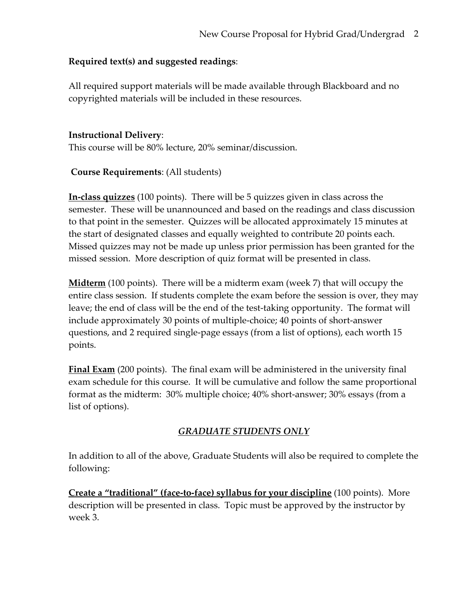# **Required text(s) and suggested readings**:

All required support materials will be made available through Blackboard and no copyrighted materials will be included in these resources.

## **Instructional Delivery**:

This course will be 80% lecture, 20% seminar/discussion.

# **Course Requirements**: (All students)

**In-class quizzes** (100 points). There will be 5 quizzes given in class across the semester. These will be unannounced and based on the readings and class discussion to that point in the semester. Quizzes will be allocated approximately 15 minutes at the start of designated classes and equally weighted to contribute 20 points each. Missed quizzes may not be made up unless prior permission has been granted for the missed session. More description of quiz format will be presented in class.

**Midterm** (100 points). There will be a midterm exam (week 7) that will occupy the entire class session. If students complete the exam before the session is over, they may leave; the end of class will be the end of the test-taking opportunity. The format will include approximately 30 points of multiple-choice; 40 points of short-answer questions, and 2 required single-page essays (from a list of options), each worth 15 points.

**Final Exam** (200 points). The final exam will be administered in the university final exam schedule for this course. It will be cumulative and follow the same proportional format as the midterm: 30% multiple choice; 40% short-answer; 30% essays (from a list of options).

# *GRADUATE STUDENTS ONLY*

In addition to all of the above, Graduate Students will also be required to complete the following:

**Create a "traditional" (face-to-face) syllabus for your discipline** (100 points). More description will be presented in class. Topic must be approved by the instructor by week 3.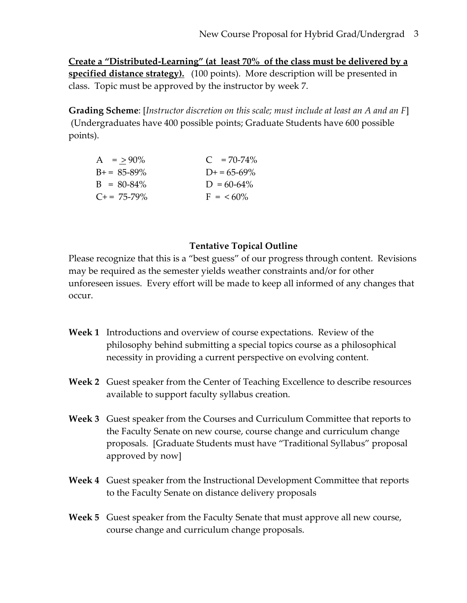**Create a "Distributed-Learning" (at least 70% of the class must be delivered by a specified distance strategy).** (100 points). More description will be presented in class. Topic must be approved by the instructor by week 7.

**Grading Scheme**: [*Instructor discretion on this scale; must include at least an A and an F*] (Undergraduates have 400 possible points; Graduate Students have 600 possible points).

| $A = > 90\%$        | $C = 70-74\%$       |
|---------------------|---------------------|
| $B_{+} = 85 - 89\%$ | $D_{+} = 65 - 69\%$ |
| $B = 80-84\%$       | $D = 60-64\%$       |
| $C_{+}$ = 75-79%    | $F = 60\%$          |

### **Tentative Topical Outline**

Please recognize that this is a "best guess" of our progress through content. Revisions may be required as the semester yields weather constraints and/or for other unforeseen issues. Every effort will be made to keep all informed of any changes that occur.

- **Week 1** Introductions and overview of course expectations. Review of the philosophy behind submitting a special topics course as a philosophical necessity in providing a current perspective on evolving content.
- **Week 2** Guest speaker from the Center of Teaching Excellence to describe resources available to support faculty syllabus creation.
- **Week 3** Guest speaker from the Courses and Curriculum Committee that reports to the Faculty Senate on new course, course change and curriculum change proposals. [Graduate Students must have "Traditional Syllabus" proposal approved by now]
- **Week 4** Guest speaker from the Instructional Development Committee that reports to the Faculty Senate on distance delivery proposals
- **Week 5** Guest speaker from the Faculty Senate that must approve all new course, course change and curriculum change proposals.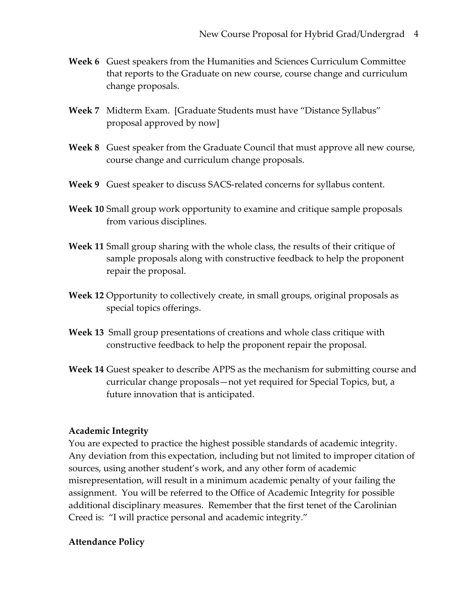- **Week 6** Guest speakers from the Humanities and Sciences Curriculum Committee that reports to the Graduate on new course, course change and curriculum change proposals.
- **Week 7** Midterm Exam. [Graduate Students must have "Distance Syllabus" proposal approved by now]
- **Week 8** Guest speaker from the Graduate Council that must approve all new course, course change and curriculum change proposals.
- **Week 9** Guest speaker to discuss SACS-related concerns for syllabus content.
- **Week 10** Small group work opportunity to examine and critique sample proposals from various disciplines.
- **Week 11** Small group sharing with the whole class, the results of their critique of sample proposals along with constructive feedback to help the proponent repair the proposal.
- **Week 12** Opportunity to collectively create, in small groups, original proposals as special topics offerings.
- **Week 13** Small group presentations of creations and whole class critique with constructive feedback to help the proponent repair the proposal.
- **Week 14** Guest speaker to describe APPS as the mechanism for submitting course and curricular change proposals—not yet required for Special Topics, but, a future innovation that is anticipated.

### **Academic Integrity**

You are expected to practice the highest possible standards of academic integrity. Any deviation from this expectation, including but not limited to improper citation of sources, using another student's work, and any other form of academic misrepresentation, will result in a minimum academic penalty of your failing the assignment. You will be referred to the Office of Academic Integrity for possible additional disciplinary measures. Remember that the first tenet of the Carolinian Creed is: "I will practice personal and academic integrity."

### **Attendance Policy**